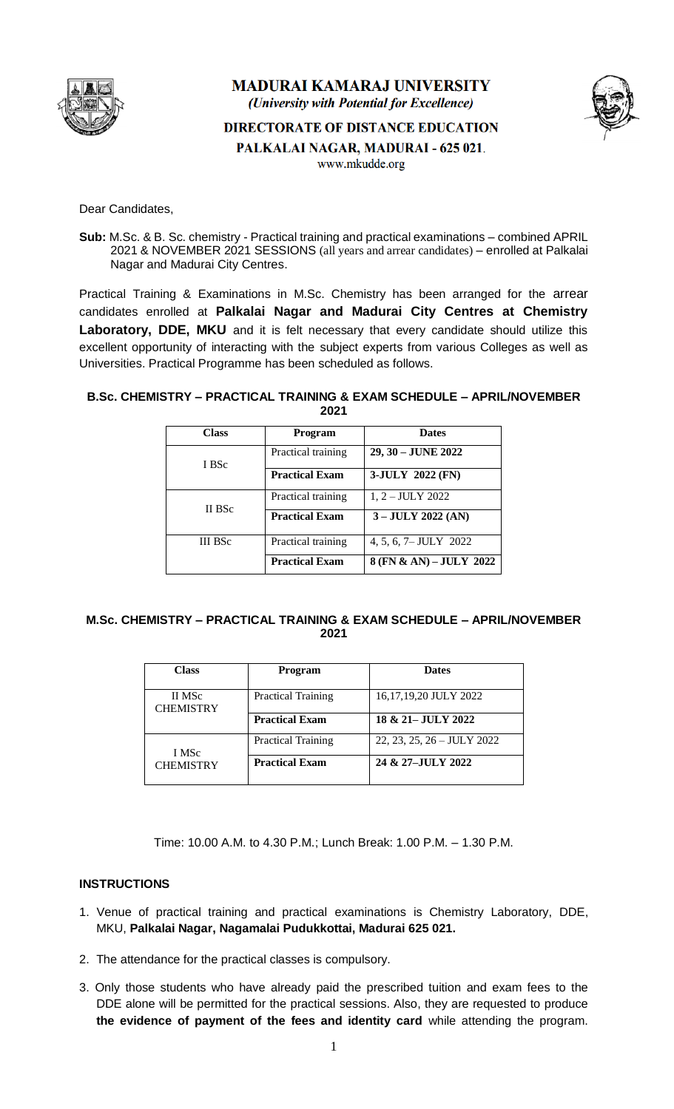

## **MADURAI KAMARAJ UNIVERSITY** (University with Potential for Excellence)

**DIRECTORATE OF DISTANCE EDUCATION** 



PALKALAI NAGAR, MADURAI - 625 021.

www.mkudde.org

Dear Candidates,

**Sub:** M.Sc. & B. Sc. chemistry - Practical training and practical examinations – combined APRIL 2021 & NOVEMBER 2021 SESSIONS (all years and arrear candidates) – enrolled at Palkalai Nagar and Madurai City Centres.

Practical Training & Examinations in M.Sc. Chemistry has been arranged for the arrear candidates enrolled at **Palkalai Nagar and Madurai City Centres at Chemistry Laboratory, DDE, MKU** and it is felt necessary that every candidate should utilize this excellent opportunity of interacting with the subject experts from various Colleges as well as Universities. Practical Programme has been scheduled as follows.

## **B.Sc. CHEMISTRY – PRACTICAL TRAINING & EXAM SCHEDULE – APRIL/NOVEMBER 2021**

| <b>Class</b>   | Program               | <b>Dates</b>            |
|----------------|-----------------------|-------------------------|
| I BSc          | Practical training    | 29, 30 - JUNE 2022      |
|                | <b>Practical Exam</b> | 3-JULY 2022 (FN)        |
| II BSc         | Practical training    | $1, 2 - JULY 2022$      |
|                | <b>Practical Exam</b> | $3 - JULY 2022 (AN)$    |
| <b>III</b> BSc | Practical training    | 4, 5, 6, 7– JULY 2022   |
|                | <b>Practical Exam</b> | 8 (FN & AN) - JULY 2022 |

## **M.Sc. CHEMISTRY – PRACTICAL TRAINING & EXAM SCHEDULE – APRIL/NOVEMBER 2021**

| <b>Class</b>               | Program                   | <b>Dates</b>                 |
|----------------------------|---------------------------|------------------------------|
| II MSc<br><b>CHEMISTRY</b> | <b>Practical Training</b> | 16,17,19,20 JULY 2022        |
|                            | <b>Practical Exam</b>     | 18 & 21 – JULY 2022          |
| I MSc<br><b>CHEMISTRY</b>  | <b>Practical Training</b> | $22, 23, 25, 26 - JULY 2022$ |
|                            | <b>Practical Exam</b>     | 24 & 27-JULY 2022            |

Time: 10.00 A.M. to 4.30 P.M.; Lunch Break: 1.00 P.M. – 1.30 P.M.

## **INSTRUCTIONS**

- 1. Venue of practical training and practical examinations is Chemistry Laboratory, DDE, MKU, **Palkalai Nagar, Nagamalai Pudukkottai, Madurai 625 021.**
- 2. The attendance for the practical classes is compulsory.
- 3. Only those students who have already paid the prescribed tuition and exam fees to the DDE alone will be permitted for the practical sessions. Also, they are requested to produce **the evidence of payment of the fees and identity card** while attending the program.